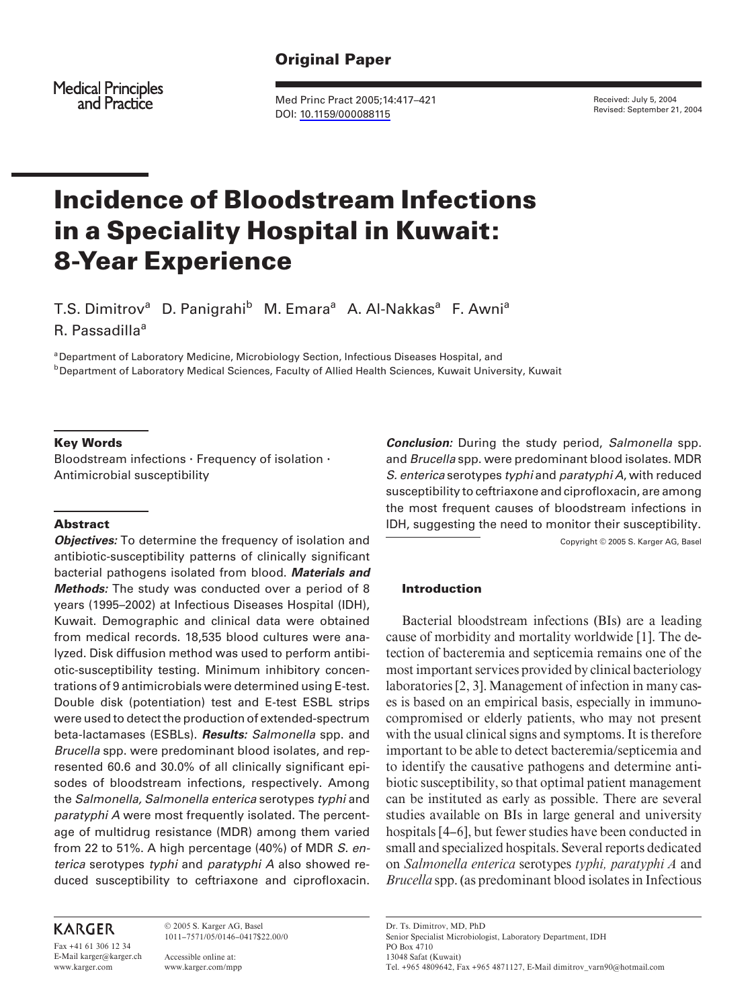# Original Paper

Medical Principles<br>and Practice

 Med Princ Pract 2005;14:417–421 DOI: 10.1159/000088115

 Received: July 5, 2004 Revised: September 21, 2004

# Incidence of Bloodstream Infections in a Speciality Hospital in Kuwait: 8-Year Experience

T.S. Dimitrov<sup>a</sup> D. Panigrahi<sup>b</sup> M. Emara<sup>a</sup> A. Al-Nakkas<sup>a</sup> F. Awni<sup>a</sup> R. Passadilla<sup>a</sup>

a Department of Laboratory Medicine, Microbiology Section, Infectious Diseases Hospital, and b Department of Laboratory Medical Sciences, Faculty of Allied Health Sciences, Kuwait University, Kuwait

## Key Words

Bloodstream infections  $\cdot$  Frequency of isolation  $\cdot$ Antimicrobial susceptibility

## Abstract

*Objectives:* To determine the frequency of isolation and antibiotic-susceptibility patterns of clinically significant bacterial pathogens isolated from blood. **Materials and Methods:** The study was conducted over a period of 8 years (1995–2002) at Infectious Diseases Hospital (IDH), Kuwait. Demographic and clinical data were obtained from medical records. 18,535 blood cultures were analyzed. Disk diffusion method was used to perform antibiotic-susceptibility testing. Minimum inhibitory concentrations of 9 antimicrobials were determined using E-test. Double disk (potentiation) test and E-test ESBL strips were used to detect the production of extended-spectrum beta-lactamases (ESBLs). **Results:** Salmonella spp. and Brucella spp. were predominant blood isolates, and represented 60.6 and 30.0% of all clinically significant episodes of bloodstream infections, respectively. Among the Salmonella, Salmonella enterica serotypes typhi and paratyphi A were most frequently isolated. The percentage of multidrug resistance (MDR) among them varied from 22 to 51%. A high percentage (40%) of MDR S. enterica serotypes typhi and paratyphi A also showed reduced susceptibility to ceftriaxone and ciprofloxacin.

# **KARGER**

 $F_{2x}$  +41 61 306 12 34 E-Mail karger@karger.ch www.karger.com

 © 2005 S. Karger AG, Basel 1011–7571/05/0146–0417\$22.00/0

 Accessible online at: www.karger.com/mpp  **Conclusion:** During the study period, Salmonella spp. and Brucella spp. were predominant blood isolates. MDR S. enterica serotypes typhi and paratyphi A, with reduced susceptibility to ceftriaxone and ciprofloxacin, are among the most frequent causes of bloodstream infections in IDH, suggesting the need to monitor their susceptibility.

Copyright © 2005 S. Karger AG, Basel

## Introduction

Bacterial bloodstream infections (BIs) are a leading cause of morbidity and mortality worldwide [1] . The detection of bacteremia and septicemia remains one of the most important services provided by clinical bacteriology laboratories [2, 3]. Management of infection in many cases is based on an empirical basis, especially in immunocompromised or elderly patients, who may not present with the usual clinical signs and symptoms. It is therefore important to be able to detect bacteremia/septicemia and to identify the causative pathogens and determine antibiotic susceptibility, so that optimal patient management can be instituted as early as possible. There are several studies available on BIs in large general and university hospitals [4–6], but fewer studies have been conducted in small and specialized hospitals. Several reports dedicated on *Salmonella enterica* serotypes *typhi, paratyphi A* and *Brucella* spp. (as predominant blood isolates in Infectious

 Dr. Ts. Dimitrov, MD, PhD Senior Specialist Microbiologist, Laboratory Department, IDH PO Box 4710 13048 Safat (Kuwait) Tel. +965 4809642, Fax +965 4871127, E-Mail dimitrov\_varn90@hotmail.com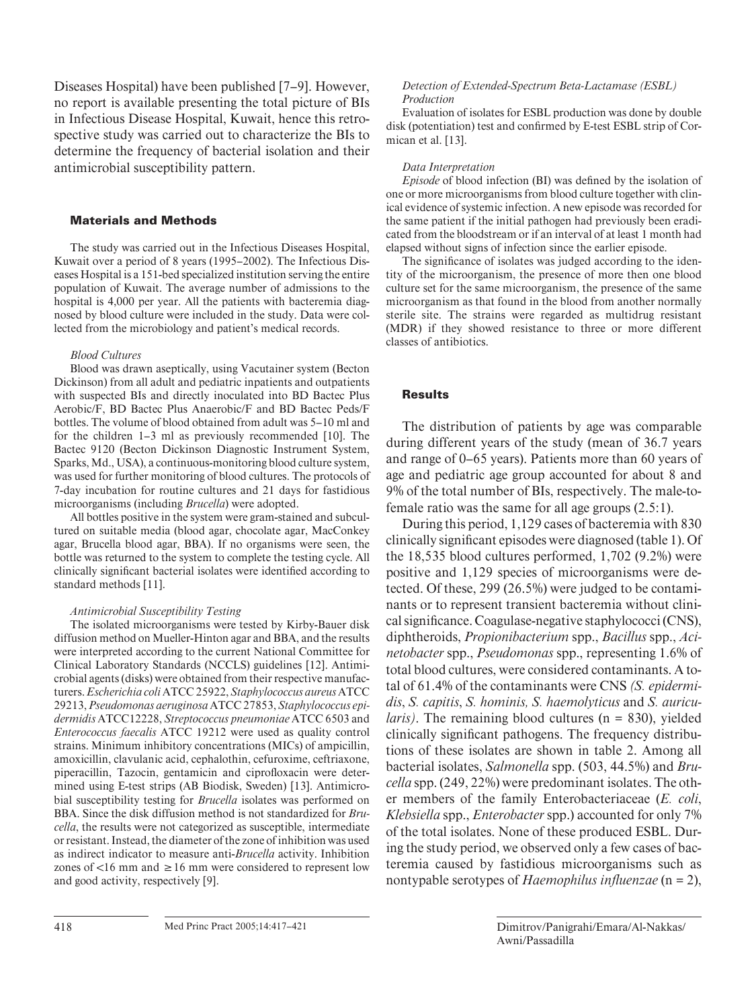Diseases Hospital) have been published [7–9]. However, no report is available presenting the total picture of BIs in Infectious Disease Hospital, Kuwait, hence this retrospective study was carried out to characterize the BIs to determine the frequency of bacterial isolation and their antimicrobial susceptibility pattern.

## Materials and Methods

The study was carried out in the Infectious Diseases Hospital, Kuwait over a period of 8 years (1995–2002). The Infectious Diseases Hospital is a 151-bed specialized institution serving the entire population of Kuwait. The average number of admissions to the hospital is 4,000 per year. All the patients with bacteremia diagnosed by blood culture were included in the study. Data were collected from the microbiology and patient's medical records.

## *Blood Cultures*

Blood was drawn aseptically, using Vacutainer system (Becton Dickinson) from all adult and pediatric inpatients and outpatients with suspected BIs and directly inoculated into BD Bactec Plus Aerobic/F, BD Bactec Plus Anaerobic/F and BD Bactec Peds/F bottles. The volume of blood obtained from adult was 5–10 ml and for the children  $1-3$  ml as previously recommended [10]. The Bactec 9120 (Becton Dickinson Diagnostic Instrument System, Sparks, Md., USA), a continuous-monitoring blood culture system, was used for further monitoring of blood cultures. The protocols of 7-day incubation for routine cultures and 21 days for fastidious microorganisms (including *Brucella*) were adopted.

All bottles positive in the system were gram-stained and subcultured on suitable media (blood agar, chocolate agar, MacConkey agar, Brucella blood agar, BBA). If no organisms were seen, the bottle was returned to the system to complete the testing cycle. All clinically significant bacterial isolates were identified according to standard methods [11].

## *Antimicrobial Susceptibility Testing*

The isolated microorganisms were tested by Kirby-Bauer disk diffusion method on Mueller-Hinton agar and BBA, and the results were interpreted according to the current National Committee for Clinical Laboratory Standards (NCCLS) guidelines [12] . Antimicrobial agents (disks) were obtained from their respective manufacturers. *Escherichia coli* ATCC 25922, *Staphylococcus aureus* ATCC 29213, *Pseudomonas aeruginosa* ATCC 27853, *Staphylococcus epidermidis* ATCC12228, *Streptococcus pneumoniae* ATCC 6503 and *Enterococcus faecalis* ATCC 19212 were used as quality control strains. Minimum inhibitory concentrations (MICs) of ampicillin, amoxicillin, clavulanic acid, cephalothin, cefuroxime, ceftriaxone, piperacillin, Tazocin, gentamicin and ciprofloxacin were determined using E-test strips (AB Biodisk, Sweden) [13]. Antimicrobial susceptibility testing for *Brucella* isolates was performed on BBA. Since the disk diffusion method is not standardized for *Brucella*, the results were not categorized as susceptible, intermediate or resistant. Instead, the diameter of the zone of inhibition was used as indirect indicator to measure anti-*Brucella* activity. Inhibition zones of  $\leq 16$  mm and  $\geq 16$  mm were considered to represent low and good activity, respectively [9].

## *Detection of Extended-Spectrum Beta-Lactamase (ESBL) Production*

Evaluation of isolates for ESBL production was done by double disk (potentiation) test and confirmed by E-test ESBL strip of Cormican et al. [13].

## *Data Interpretation*

*Episode* of blood infection (BI) was defined by the isolation of one or more microorganisms from blood culture together with clinical evidence of systemic infection. A new episode was recorded for the same patient if the initial pathogen had previously been eradicated from the bloodstream or if an interval of at least 1 month had elapsed without signs of infection since the earlier episode.

The significance of isolates was judged according to the identity of the microorganism, the presence of more then one blood culture set for the same microorganism, the presence of the same microorganism as that found in the blood from another normally sterile site. The strains were regarded as multidrug resistant (MDR) if they showed resistance to three or more different classes of antibiotics.

## **Results**

The distribution of patients by age was comparable during different years of the study (mean of 36.7 years and range of 0–65 years). Patients more than 60 years of age and pediatric age group accounted for about 8 and 9% of the total number of BIs, respectively. The male-tofemale ratio was the same for all age groups  $(2.5:1)$ .

During this period, 1,129 cases of bacteremia with 830 clinically significant episodes were diagnosed (table 1). Of the 18,535 blood cultures performed, 1,702 (9.2%) were positive and 1,129 species of microorganisms were detected. Of these, 299 (26.5%) were judged to be contaminants or to represent transient bacteremia without clinical significance. Coagulase-negative staphylococci (CNS), diphtheroids, *Propionibacterium* spp., *Bacillus* spp., *Acinetobacter* spp., *Pseudomonas* spp., representing 1.6% of total blood cultures, were considered contaminants. A total of 61.4% of the contaminants were CNS *(S. epidermidis* , *S. capitis* , *S. hominis, S. haemolyticus* and *S. auricularis*). The remaining blood cultures (n = 830), vielded clinically significant pathogens. The frequency distributions of these isolates are shown in table 2. Among all bacterial isolates, *Salmonella* spp. (503, 44.5%) and *Brucella* spp. (249, 22%) were predominant isolates. The other members of the family Enterobacteriaceae (*E. coli* , *Klebsiella* spp., *Enterobacter* spp.) accounted for only 7% of the total isolates. None of these produced ESBL. During the study period, we observed only a few cases of bacteremia caused by fastidious microorganisms such as nontypable serotypes of *Haemophilus influenzae* (n = 2),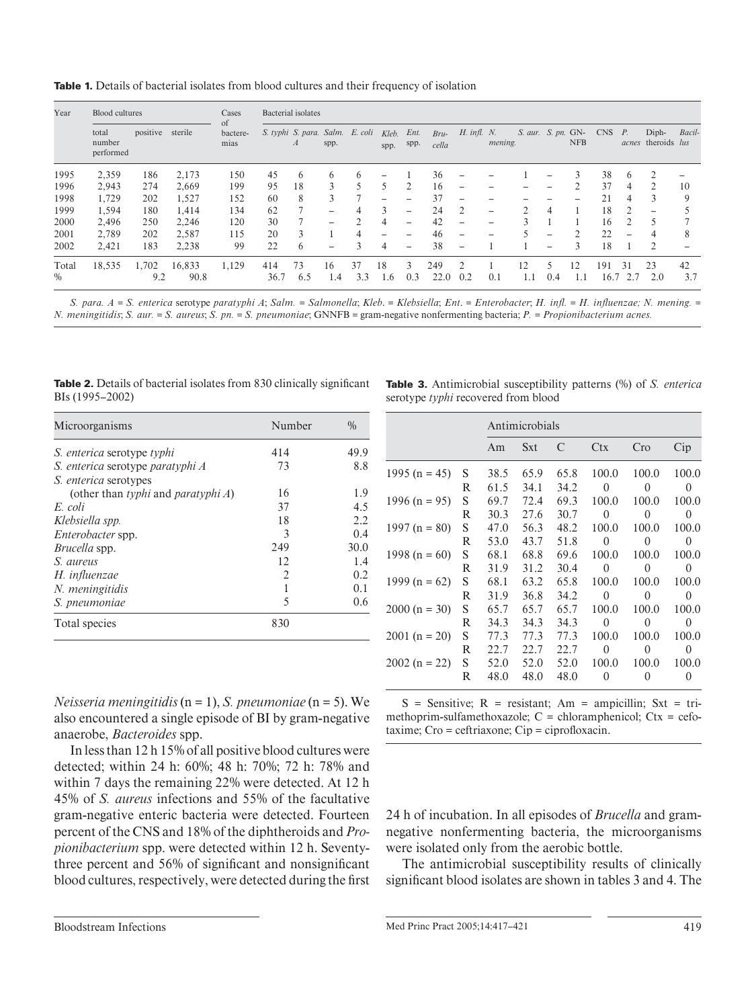Table 1. Details of bacterial isolates from blood cultures and their frequency of isolation

| Year  | Blood cultures               |                  | Cases  | Bacterial isolates     |      |                                                     |                          |               |               |                          |                 |                          |                          |                          |                |                |            |                      |                          |        |
|-------|------------------------------|------------------|--------|------------------------|------|-----------------------------------------------------|--------------------------|---------------|---------------|--------------------------|-----------------|--------------------------|--------------------------|--------------------------|----------------|----------------|------------|----------------------|--------------------------|--------|
|       | total<br>number<br>performed | positive sterile |        | of<br>bactere-<br>mias |      | S. typhi S. para. Salm. E. coli<br>$\boldsymbol{A}$ | spp.                     |               | Kleb.<br>spp. | Ent.<br>spp.             | $Bru-$<br>cella | $H.$ infl. $N.$          | mening.                  | $S.$ aur. $S.$ pn. $GN-$ |                | <b>NFB</b>     | <b>CNS</b> | $P_{\cdot}$<br>acnes | Diph-<br>theroids lus    | Bacil- |
| 1995  | 2,359                        | 186              | 2,173  | 150                    | 45   | 6                                                   | 6                        | 6             |               |                          | 36              | ۰                        |                          |                          | -              | 3              | 38         | 6                    |                          |        |
| 1996  | 2,943                        | 274              | 2,669  | 199                    | 95   | 18                                                  | 3                        |               | 5             | $\mathfrak{D}$           | 16              | -                        |                          |                          |                | $\overline{c}$ | 37         | 4                    | C                        | 10     |
| 1998  | 1,729                        | 202              | 1,527  | 152                    | 60   | 8                                                   | 3                        |               |               | $\overline{\phantom{0}}$ | 37              |                          |                          |                          |                |                | 21         | 4                    | 3                        | 9      |
| 1999  | 1,594                        | 180              | 1,414  | 134                    | 62   | 7                                                   | $\overline{\phantom{0}}$ | 4             | 3             | -                        | 24              | $\overline{2}$           | $\overline{\phantom{0}}$ | $\overline{c}$           | $\overline{4}$ |                | 18         |                      | $\overline{\phantom{0}}$ |        |
| 2000  | 2,496                        | 250              | 2,246  | 120                    | 30   | $\tau$                                              | $\overline{\phantom{0}}$ | $\mathcal{L}$ | 4             | -                        | 42              |                          | -                        | 3                        |                |                | 16         |                      | $\overline{\mathcal{L}}$ |        |
| 2001  | 2,789                        | 202              | 2,587  | 115                    | 20   | 3                                                   |                          | 4             |               |                          | 46              |                          | -                        | 5                        | -              | $\overline{c}$ | 22         |                      |                          | 8      |
| 2002  | 2,421                        | 183              | 2,238  | 99                     | 22   | 6                                                   | $\overline{\phantom{0}}$ | 3             | 4             | $\overline{\phantom{0}}$ | 38              | $\overline{\phantom{0}}$ |                          |                          | -              | 3              | 18         |                      | 2                        |        |
| Total | 18,535                       | 1,702            | 16,833 | 1,129                  | 414  | 73                                                  | 16                       | 37            | 18            | 3                        | 249             |                          |                          | 12                       |                | 12             | 191        | 31                   | 23                       | 42     |
| $\%$  |                              | 9.2              | 90.8   |                        | 36.7 | 6.5                                                 | 1.4                      | 3.3           | 1.6           | 0.3                      | 22.0            | 0.2                      | 0.1                      | 1.1                      | 0.4            | 1 <sub>1</sub> | 16.7       |                      | 2.0                      | 3.7    |

S. para. A = S. enterica serotype paratyphi A; Salm. = Salmonella; Kleb. = Klebsiella; Ent. = Enterobacter; H. infl. = H. influenzae; N. mening. = *N. meningitidis*; *S. aur.* = *S. aureus*; *S. pn.* = *S. pneumoniae*; GNNFB = gram-negative nonfermenting bacteria; *P. = Propionibacterium acnes.*

| <b>Table 2.</b> Details of bacterial isolates from 830 clinically significant |  |  |
|-------------------------------------------------------------------------------|--|--|
| BIs (1995–2002)                                                               |  |  |

| Microorganisms                                    | Number         | $\frac{0}{0}$ |
|---------------------------------------------------|----------------|---------------|
| <i>S. enterica</i> serotype typhi                 | 414            | 49.9          |
| S. enterica serotype paratyphi A                  | 73             | 8.8           |
| <i>S. enterica</i> serotypes                      |                |               |
| (other than <i>typhi</i> and <i>paratyphi A</i> ) | 16             | 1.9           |
| E. coli                                           | 37             | 4.5           |
| Klebsiella spp.                                   | 18             | 2.2           |
| <i>Enterobacter</i> spp.                          | 3              | 0.4           |
| <i>Brucella</i> spp.                              | 249            | 30.0          |
| S. aureus                                         | 12             | 1.4           |
| H. influenzae                                     | $\mathfrak{D}$ | 0.2           |
| N. meningitidis                                   |                | 0.1           |
| S. pneumoniae                                     | 5              | 0.6           |
| Total species                                     | 830            |               |

Table 3. Antimicrobial susceptibility patterns (%) of *S. enterica*  serotype *typhi* recovered from blood

|                   |   |      | Antimicrobials |      |          |          |                  |  |  |  |  |
|-------------------|---|------|----------------|------|----------|----------|------------------|--|--|--|--|
|                   |   | Am   | <b>Sxt</b>     | C    | Ctx      | Cro      | Cip              |  |  |  |  |
| 1995 (n = 45)     | S | 38.5 | 65.9           | 65.8 | 100.0    | 100.0    | 100.0            |  |  |  |  |
|                   | R | 61.5 | 34.1           | 34.2 | 0        | $\theta$ | 0                |  |  |  |  |
| 1996 (n = 95)     | S | 69.7 | 72.4           | 69.3 | 100.0    | 100.0    | 100.0            |  |  |  |  |
|                   | R | 30.3 | 27.6           | 30.7 | $\theta$ | $\theta$ | 0                |  |  |  |  |
| 1997 (n = 80)     | S | 47.0 | 56.3           | 48.2 | 100.0    | 100.0    | 100.0            |  |  |  |  |
|                   | R | 53.0 | 43.7           | 51.8 | $\Omega$ | $\theta$ | 0                |  |  |  |  |
| 1998 ( $n = 60$ ) | S | 68.1 | 68.8           | 69.6 | 100.0    | 100.0    | 100.0            |  |  |  |  |
|                   | R | 31.9 | 31.2           | 30.4 | 0        | $\Omega$ | 0                |  |  |  |  |
| 1999 (n = 62)     | S | 68.1 | 63.2           | 65.8 | 100.0    | 100.0    | 100.0            |  |  |  |  |
|                   | R | 31.9 | 36.8           | 34.2 | $\Omega$ | 0        | 0                |  |  |  |  |
| $2000 (n = 30)$   | S | 65.7 | 65.7           | 65.7 | 100.0    | 100.0    | 100.0            |  |  |  |  |
|                   | R | 34.3 | 34.3           | 34.3 | $\Omega$ | 0        | $\Omega$         |  |  |  |  |
| $2001(n = 20)$    | S | 77.3 | 77.3           | 77.3 | 100.0    | 100.0    | 100.0            |  |  |  |  |
|                   | R | 22.7 | 22.7           | 22.7 | 0        | $\Omega$ | 0                |  |  |  |  |
| $2002(n = 22)$    | S | 52.0 | 52.0           | 52.0 | 100.0    | 100.0    | 100.0            |  |  |  |  |
|                   | R | 48.0 | 48.0           | 48.0 | 0        | 0        | $\left( \right)$ |  |  |  |  |

*Neisseria meningitidis* (n = 1), *S. pneumoniae* (n = 5). We also encountered a single episode of BI by gram-negative anaerobe, *Bacteroides* spp.

In less than 12 h 15% of all positive blood cultures were detected; within 24 h: 60%; 48 h: 70%; 72 h: 78% and within 7 days the remaining 22% were detected. At 12 h 45% of *S. aureus* infections and 55% of the facultative gram-negative enteric bacteria were detected. Fourteen percent of the CNS and 18% of the diphtheroids and *Propionibacterium* spp. were detected within 12 h. Seventythree percent and 56% of significant and nonsignificant blood cultures, respectively, were detected during the first

 $S =$  Sensitive;  $R =$  resistant; Am = ampicillin; Sxt = trimethoprim-sulfamethoxazole;  $C =$  chloramphenicol;  $Ctx =$  cefo $taxime$ ;  $Cro = ceftriaxone$ ;  $Cip = ciproflox (ax)$ .

24 h of incubation. In all episodes of *Brucella* and gramnegative nonfermenting bacteria, the microorganisms were isolated only from the aerobic bottle.

The antimicrobial susceptibility results of clinically significant blood isolates are shown in tables 3 and 4. The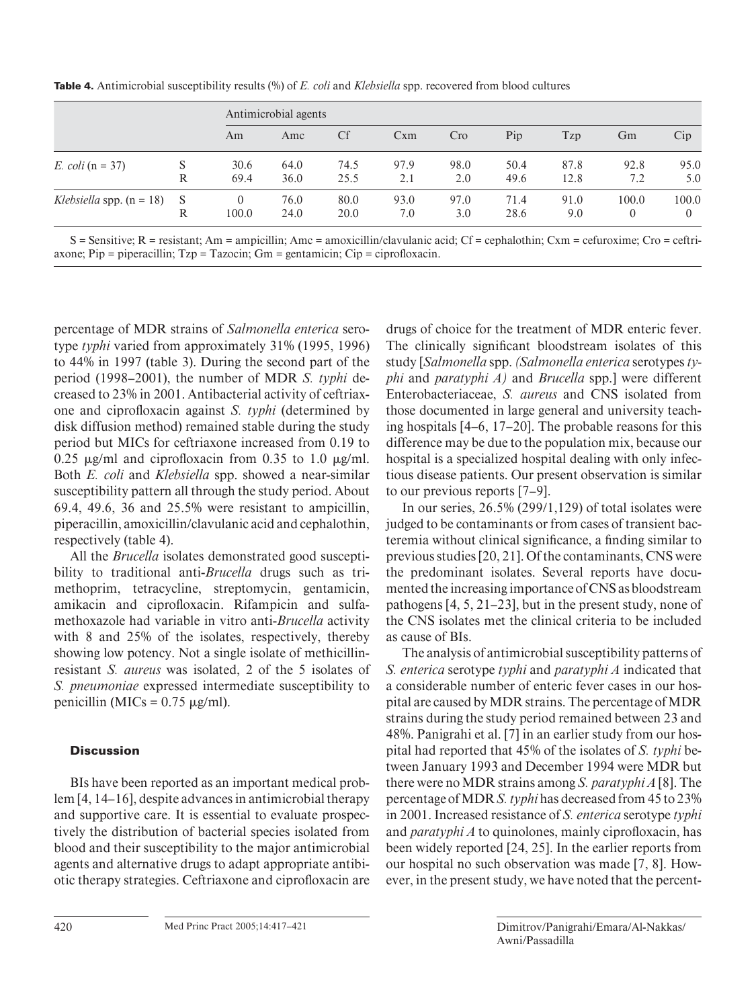|                            |          |              | Antimicrobial agents |              |             |             |              |              |                   |             |  |  |
|----------------------------|----------|--------------|----------------------|--------------|-------------|-------------|--------------|--------------|-------------------|-------------|--|--|
|                            |          | Am           | Amc                  | <b>Cf</b>    | Cxm         | Cro         | Pip          | Tzp          | Gm                | Cip         |  |  |
| <i>E. coli</i> $(n = 37)$  | S<br>R   | 30.6<br>69.4 | 64.0<br>36.0         | 74.5<br>25.5 | 97.9<br>2.1 | 98.0<br>2.0 | 50.4<br>49.6 | 87.8<br>12.8 | 92.8<br>7.2       | 95.0<br>5.0 |  |  |
| Klebsiella spp. $(n = 18)$ | - S<br>R | 100.0        | 76.0<br>24.0         | 80.0<br>20.0 | 93.0<br>7.0 | 97.0<br>3.0 | 71.4<br>28.6 | 91.0<br>9.0  | 100.0<br>$\theta$ | 100.0<br>0  |  |  |

Table 4. Antimicrobial susceptibility results (%) of *E. coli* and *Klebsiella* spp. recovered from blood cultures

 $S =$  Sensitive;  $R =$  resistant; Am = ampicillin; Amc = amoxicillin/clavulanic acid; Cf = cephalothin; Cxm = cefuroxime; Cro = ceftriaxone; Pip = piperacillin;  $Tzp = Taxocin$ ;  $Gm = gentamicin$ ;  $Cip = ciproflox ($ 

percentage of MDR strains of *Salmonella enterica* serotype *typhi* varied from approximately 31% (1995, 1996) to 44% in 1997 (table 3). During the second part of the period (1998–2001), the number of MDR *S. typhi* decreased to 23% in 2001. Antibacterial activity of ceftriaxone and ciprofloxacin against *S. typhi* (determined by disk diffusion method) remained stable during the study period but MICs for ceftriaxone increased from 0.19 to  $0.25 \mu$ g/ml and ciprofloxacin from 0.35 to 1.0  $\mu$ g/ml. Both *E. coli* and *Klebsiella* spp. showed a near-similar susceptibility pattern all through the study period. About 69.4, 49.6, 36 and 25.5% were resistant to ampicillin, piperacillin, amoxicillin/clavulanic acid and cephalothin, respectively (table 4).

All the *Brucella* isolates demonstrated good susceptibility to traditional anti-*Brucella* drugs such as trimethoprim, tetracycline, streptomycin,gentamicin, amikacin and ciprofloxacin. Rifampicin and sulfamethoxazole had variable in vitro anti-*Brucella* activity with 8 and 25% of the isolates, respectively, thereby showing low potency. Not a single isolate of methicillinresistant *S. aureus* was isolated, 2 of the 5 isolates of *S. pneumoniae* expressed intermediate susceptibility to penicillin (MICs =  $0.75 \mu g/ml$ ).

## **Discussion**

BIs have been reported as an important medical problem [4, 14–16], despite advances in antimicrobial therapy and supportive care. It is essential to evaluate prospectively the distribution of bacterial species isolated from blood and their susceptibility to the major antimicrobial agents and alternative drugs to adapt appropriate antibiotic therapy strategies. Ceftriaxone and ciprofloxacin are drugs of choice for the treatment of MDR enteric fever. The clinically significant bloodstream isolates of this study [*Salmonella* spp. *(Salmonella enterica* serotypes *typhi* and *paratyphi A)* and *Brucella* spp.] were different Enterobacteriaceae, *S. aureus* and CNS isolated from those documented in large general and university teaching hospitals  $[4-6, 17-20]$ . The probable reasons for this difference may be due to the population mix, because our hospital is a specialized hospital dealing with only infectious disease patients. Our present observation is similar to our previous reports [7–9].

In our series,  $26.5\%$  (299/1,129) of total isolates were judged to be contaminants or from cases of transient bacteremia without clinical significance, a finding similar to previous studies [20, 21] . Of the contaminants, CNS were the predominant isolates. Several reports have documented the increasing importance of CNS as bloodstream pathogens [4, 5, 21–23], but in the present study, none of the CNS isolates met the clinical criteria to be included as cause of BIs.

The analysis of antimicrobial susceptibility patterns of *S. enterica* serotype *typhi* and *paratyphi A* indicated that a considerable number of enteric fever cases in our hospital are caused by MDR strains. The percentage of MDR strains during the study period remained between 23 and 48%. Panigrahi et al. [7] in an earlier study from our hospital had reported that 45% of the isolates of *S. typhi* between January 1993 and December 1994 were MDR but there were no MDR strains among *S. paratyphi A* [8] . The percentage of MDR *S. typhi* has decreased from 45 to 23% in 2001. Increased resistance of *S. enterica* serotype *typhi*  and *paratyphi A* to quinolones, mainly ciprofloxacin, has been widely reported [24, 25]. In the earlier reports from our hospital no such observation was made [7, 8]. However, in the present study, we have noted that the percent-